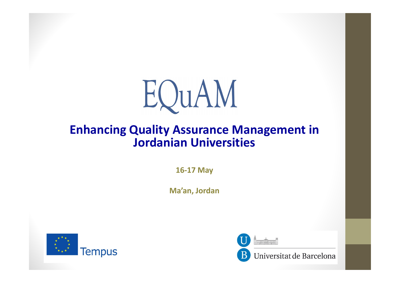

### Enhancing Quality Assurance Management in Jordanian Universities

16-17 May

Ma'an, Jordan



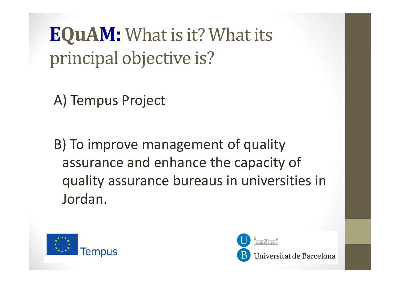EQuAM: What is it? What its principal objective is?

A) Tempus Project

B) To improve management of quality assurance and enhance the capacity of quality assurance bureaus in universities in Jordan.



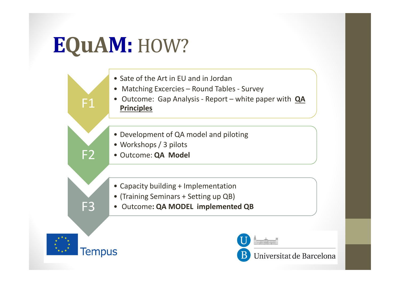# EQuAM: HOW?

- Sate of the Art in EU and in Jordan
- Matching Excercies Round Tables Survey
- Outcome: Gap Analysis Report white paper with **QA** Principles
- Development of QA model and piloting
- Workshops / 3 pilots
- Outcome: QA Model
- Capacity building + Implementation
- (Training Seminars + Setting up QB)
- Outcome: QA MODEL implemented QB



F1

F2

F3

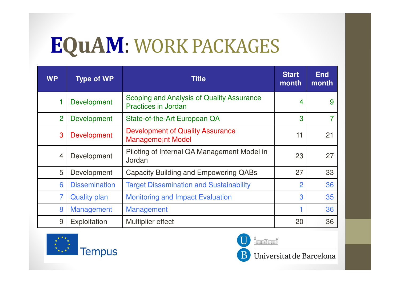### EQuAM: WORK PACKAGES

| <b>WP</b>      | <b>Type of WP</b>    | <b>Title</b>                                                            | <b>Start</b><br>month | <b>End</b><br>month |
|----------------|----------------------|-------------------------------------------------------------------------|-----------------------|---------------------|
| 1              | Development          | Scoping and Analysis of Quality Assurance<br><b>Practices in Jordan</b> | $\overline{4}$        | 9                   |
| $\overline{2}$ | <b>Development</b>   | State-of-the-Art European QA                                            | 3                     | 7                   |
| 3              | <b>Development</b>   | <b>Development of Quality Assurance</b><br><b>Managemeint Model</b>     | 11                    | 21                  |
| $\overline{4}$ | Development          | Piloting of Internal QA Management Model in<br>Jordan                   | 23                    | 27                  |
| 5              | Development          | <b>Capacity Building and Empowering QABs</b>                            | 27                    | 33                  |
| 6              | <b>Dissemination</b> | <b>Target Dissemination and Sustainability</b>                          | $\overline{2}$        | 36                  |
| $\overline{7}$ | <b>Quality plan</b>  | <b>Monitoring and Impact Evaluation</b>                                 | 3                     | 35                  |
| 8              | Management           | <b>Management</b>                                                       |                       | 36                  |
| 9              | Exploitation         | Multiplier effect                                                       | 20                    | 36                  |



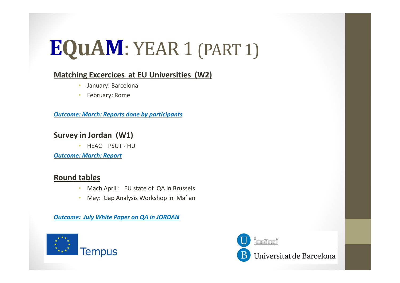# EQuAM: YEAR 1 (PART 1)

#### Matching Excercices at EU Universities (W2)

- •January: Barcelona
- •February: Rome

Outcome: March: Reports done by participants

#### Survey in Jordan (W1)

• HEAC – PSUT - HU

Outcome: March: Report

#### Round tables

- •Mach April : EU state of QA in Brussels
- •May: Gap Analysis Workshop in Ma´an

Outcome: July White Paper on QA in JORDAN





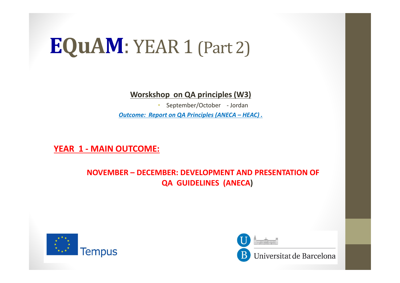### EQuAM: YEAR 1 (Part 2)

Worskshop on QA principles (W3)

• September/October - JordanOutcome: Report on QA Principles (ANECA – HEAC) .

YEAR 1 - MAIN OUTCOME:

NOVEMBER – DECEMBER: DEVELOPMENT AND PRESENTATION OF QA GUIDELINES (ANECA)